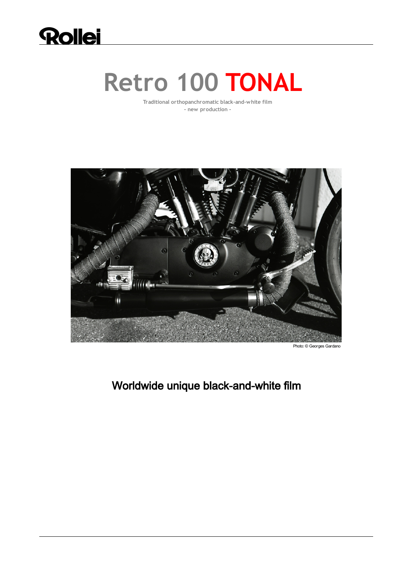

# **Retro 100 TONAL**

**Traditional orthopanchromatic black-and-white film - new production -**



# Worldwide unique black-and-white film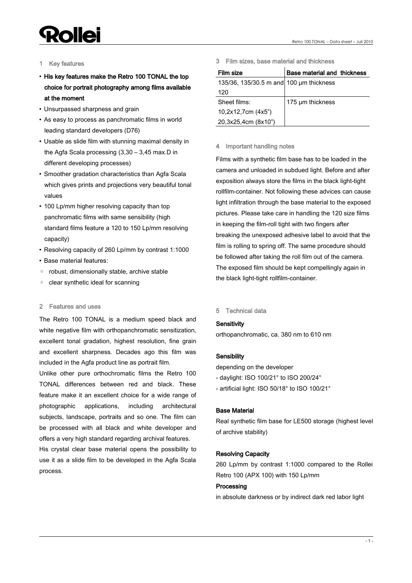# **Pollei**

### 1 Key features

- His key features make the Retro 100 TONAL the top choice for portrait photography among films available at the moment
- Unsurpassed sharpness and grain
- As easy to process as panchromatic films in world leading standard developers (D76)
- Usable as slide film with stunning maximal density in the Agfa Scala processing (3,30 – 3,45 max.D in different developing processes)
- Smoother gradation characteristics than Agfa Scala which gives prints and projections very beautiful tonal values
- 100 Lp/mm higher resolving capacity than top panchromatic films with same sensibility (high standard films feature a 120 to 150 Lp/mm resolving capacity)
- Resolving capacity of 260 Lp/mm by contrast 1:1000
- Base material features:
- robust, dimensionally stable, archive stable
- clear synthetic ideal for scanning

# 2 Features and uses

The Retro 100 TONAL is a medium speed black and white negative film with orthopanchromatic sensitization. excellent tonal gradation, highest resolution, fine grain and excellent sharpness. Decades ago this film was included in the Agfa product line as portrait film.

Unlike other pure orthochromatic films the Retro 100 TONAL differences between red and black. These feature make it an excellent choice for a wide range of photographic applications, including architectural subjects, landscape, portraits and so one. The film can be processed with all black and white developer and offers a very high standard regarding archival features.

His crystal clear base material opens the possibility to use it as a slide film to be developed in the Agfa Scala process.

3 Film sizes, base material and thickness

| Film size                               | Base material and thickness |
|-----------------------------------------|-----------------------------|
| 135/36, 135/30.5 m and 100 um thickness |                             |
| 120                                     |                             |
| Sheet films:                            | 175 µm thickness            |
| 10,2x12,7cm (4x5")                      |                             |
| 20,3x25,4cm (8x10")                     |                             |

### 4 Important handling notes

Films with a synthetic film base has to be loaded in the camera and unloaded in subdued light. Before and after exposition always store the films in the black light-tight rollfilm-container. Not following these advices can cause light infiltration through the base material to the exposed pictures. Please take care in handling the 120 size films in keeping the film-roll tight with two fingers after breaking the unexposed adhesive label to avoid that the film is rolling to spring off. The same procedure should be followed after taking the roll film out of the camera. The exposed film should be kept compellingly again in the black light-tight rollfilm-container.

### 5 Technical data

# **Sensitivity**

orthopanchromatic, ca. 380 nm to 610 nm

# **Sensibility**

depending on the developer

- daylight: ISO 100/21° to ISO 200/24°
- artificial light: ISO 50/18° to ISO 100/21°

# Base Material

Real synthetic film base for LE500 storage (highest level of archive stability)

# Resolving Capacity

260 Lp/mm by contrast 1:1000 compared to the Rollei Retro 100 (APX 100) with 150 Lp/mm

# Processing

in absolute darkness or by indirect dark red labor light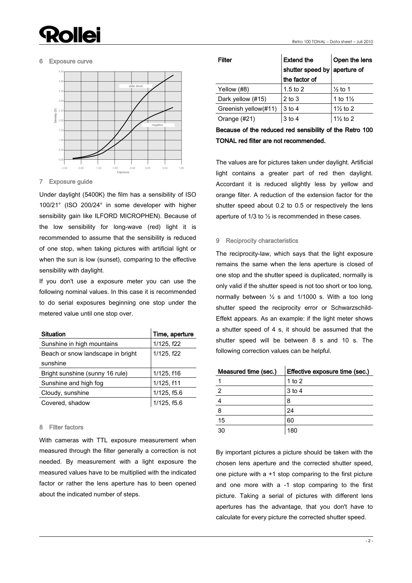# llei

#### Retro 100 TONAL – Data sheet – Juli 2010

#### 6 Exposure curve



7 Exposure guide

Under daylight (5400K) the film has a sensibility of ISO 100/21° (ISO 200/24° in some developer with higher sensibility gain like ILFORD MICROPHEN). Because of the low sensibility for long-wave (red) light it is recommended to assume that the sensibility is reduced of one stop, when taking pictures with artificial light or when the sun is low (sunset), comparing to the effective sensibility with daylight.

If you don't use a exposure meter you can use the following nominal values. In this case it is recommended to do serial exposures beginning one stop under the metered value until one stop over.

| <b>Situation</b>                  | Time, aperture |
|-----------------------------------|----------------|
| Sunshine in high mountains        | 1/125, f22     |
| Beach or snow landscape in bright | 1/125, f22     |
| sunshine                          |                |
| Bright sunshine (sunny 16 rule)   | 1/125, f16     |
| Sunshine and high fog             | 1/125, f11     |
| Cloudy, sunshine                  | 1/125, f5.6    |
| Covered, shadow                   | 1/125, f5.6    |

#### 8 Filter factors

With cameras with TTL exposure measurement when measured through the filter generally a correction is not needed. By measurement with a light exposure the measured values have to be multiplied with the indicated factor or rather the lens aperture has to been opened about the indicated number of steps.

| Filter               | <b>Extend the</b><br>shutter speed by aperture of | Open the lens       |  |
|----------------------|---------------------------------------------------|---------------------|--|
|                      | the factor of                                     |                     |  |
| Yellow (#8)          | 1.5 to 2                                          | $\frac{1}{2}$ to 1  |  |
| Dark yellow (#15)    | 2 to 3                                            | 1 to $1\frac{1}{2}$ |  |
| Greenish yellow(#11) | 3 to 4                                            | $1\frac{1}{2}$ to 2 |  |
| Orange (#21)         | 3 to 4                                            | $1\frac{1}{2}$ to 2 |  |

Because of the reduced red sensibility of the Retro 100 TONAL red filter are not recommended.

The values are for pictures taken under daylight. Artificial light contains a greater part of red then daylight. Accordant it is reduced slightly less by yellow and orange filter. A reduction of the extension factor for the shutter speed about 0.2 to 0.5 or respectively the lens aperture of 1/3 to ½ is recommended in these cases.

#### 9 Reciprocity characteristics

The reciprocity-law, which says that the light exposure remains the same when the lens aperture is closed of one stop and the shutter speed is duplicated, normally is only valid if the shutter speed is not too short or too long, normally between ½ s and 1/1000 s. With a too long shutter speed the reciprocity error or Schwarzschild-Effekt appears. As an example: if the light meter shows a shutter speed of 4 s, it should be assumed that the shutter speed will be between 8 s and 10 s. The following correction values can be helpful.

| Measured time (sec.) | Effective exposure time (sec.) |
|----------------------|--------------------------------|
|                      | 1 to $2$                       |
| 2                    | 3 to 4                         |
|                      | 8                              |
| 8                    | 24                             |
| 15                   | 60                             |
| 30                   | 180                            |

By important pictures a picture should be taken with the chosen lens aperture and the corrected shutter speed, one picture with a +1 stop comparing to the first picture and one more with a -1 stop comparing to the first picture. Taking a serial of pictures with different lens apertures has the advantage, that you don't have to calculate for every picture the corrected shutter speed.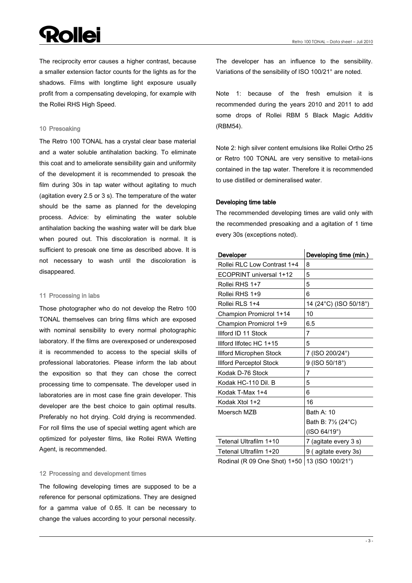# **Dollei**

The reciprocity error causes a higher contrast, because a smaller extension factor counts for the lights as for the shadows. Films with longtime light exposure usually profit from a compensating developing, for example with the Rollei RHS High Speed.

#### 10 Presoaking

The Retro 100 TONAL has a crystal clear base material and a water soluble antihalation backing. To eliminate this coat and to ameliorate sensibility gain and uniformity of the development it is recommended to presoak the film during 30s in tap water without agitating to much (agitation every 2.5 or 3 s). The temperature of the water should be the same as planned for the developing process. Advice: by eliminating the water soluble antihalation backing the washing water will be dark blue when poured out. This discoloration is normal. It is sufficient to presoak one time as described above. It is not necessary to wash until the discoloration is disappeared.

#### 11 Processing in labs

Those photographer who do not develop the Retro 100 TONAL themselves can bring films which are exposed with nominal sensibility to every normal photographic laboratory. If the films are overexposed or underexposed it is recommended to access to the special skills of professional laboratories. Please inform the lab about the exposition so that they can chose the correct processing time to compensate. The developer used in laboratories are in most case fine grain developer. This developer are the best choice to gain optimal results. Preferably no hot drying. Cold drying is recommended. For roll films the use of special wetting agent which are optimized for polyester films, like Rollei RWA Wetting Agent, is recommended.

#### 12 Processing and development times

The following developing times are supposed to be a reference for personal optimizations. They are designed for a gamma value of 0.65. It can be necessary to change the values according to your personal necessity. The developer has an influence to the sensibility. Variations of the sensibility of ISO 100/21° are noted.

Note 1: because of the fresh emulsion it is recommended during the years 2010 and 2011 to add some drops of Rollei RBM 5 Black Magic Additiv (RBM54).

Note 2: high silver content emulsions like Rollei Ortho 25 or Retro 100 TONAL are very sensitive to metail-ions contained in the tap water. Therefore it is recommended to use distilled or demineralised water.

#### Developing time table

The recommended developing times are valid only with the recommended presoaking and a agitation of 1 time every 30s (exceptions noted).

| Developer                      | Developing time (min.) |
|--------------------------------|------------------------|
| Rollei RLC Low Contrast 1+4    | 8                      |
| ECOPRINT universal 1+12        | 5                      |
| Rollei RHS 1+7                 | 5                      |
| Rollei RHS 1+9                 | 6                      |
| Rollei RLS 1+4                 | 14 (24°C) (ISO 50/18°) |
| Champion Promicrol 1+14        | 10                     |
| Champion Promicrol 1+9         | 6.5                    |
| Illford ID 11 Stock            | 7                      |
| Illford Ilfotec HC 1+15        | 5                      |
| <b>Illford Microphen Stock</b> | 7 (ISO 200/24°)        |
| <b>Illford Perceptol Stock</b> | 9 (ISO 50/18°)         |
| Kodak D-76 Stock               | 7                      |
| Kodak HC-110 Dil. B            | 5                      |
| Kodak T-Max 1+4                | 6                      |
| Kodak Xtol 1+2                 | 16                     |
| Moersch MZB                    | Bath A: 10             |
|                                | Bath B: 71/2 (24°C)    |
|                                | (ISO 64/19°)           |
| Tetenal Ultrafilm 1+10         | 7 (agitate every 3 s)  |
| Tetenal Ultrafilm 1+20         | 9 (agitate every 3s)   |
| $\sim$ $\sim$ $\sim$ $\sim$    |                        |

Rodinal (R 09 One Shot)  $1+50$  | 13 (ISO 100/21 $^{\circ}$ )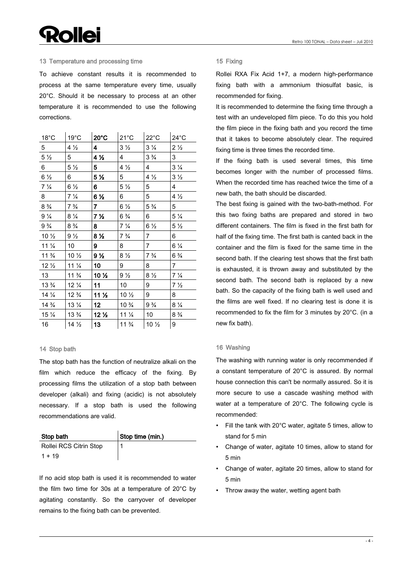# **Rollei**

#### 13 Temperature and processing time

To achieve constant results it is recommended to process at the same temperature every time, usually 20°C. Should it be necessary to process at an other temperature it is recommended to use the following corrections.

| $18^{\circ}$ C  | $19^{\circ}$ C  | $20^{\circ}$ C          | $21^{\circ}$ C  | $22^{\circ}$ C  | $24^{\circ}$ C |
|-----------------|-----------------|-------------------------|-----------------|-----------------|----------------|
| 5 <sub>1</sub>  | $4\frac{1}{2}$  | $\overline{\mathbf{4}}$ | $3\frac{1}{2}$  | $3\frac{1}{4}$  | $2\frac{1}{2}$ |
| $5\frac{1}{2}$  | 5               | 4 <sub>2</sub>          | $\overline{4}$  | $3\frac{3}{4}$  | 3              |
| $6\overline{6}$ | $5\frac{1}{2}$  | 5                       | $4\frac{1}{2}$  | $\overline{4}$  | $3\frac{1}{4}$ |
| $6\frac{1}{2}$  | 6               | 5 <sub>2</sub>          | 5               | $4\frac{1}{2}$  | $3\frac{1}{2}$ |
| $7\frac{1}{4}$  | $6\frac{1}{2}$  | 6.                      | $5\frac{1}{2}$  | 5               | $\overline{4}$ |
| 8               | $7\frac{1}{4}$  | 6 %                     | 6               | 5               | $4\frac{1}{2}$ |
| $8\frac{3}{4}$  | $7\frac{3}{4}$  | $\overline{\mathbf{r}}$ | $6\frac{1}{2}$  | $5\frac{3}{4}$  | 5              |
| $9\frac{1}{4}$  | $8\frac{1}{4}$  | 7 <sub>2</sub>          | $6\frac{3}{4}$  | 6               | $5\frac{1}{4}$ |
| $9\frac{3}{4}$  | $8\frac{3}{4}$  | 8                       | $7\frac{1}{4}$  | $6\frac{1}{2}$  | $5\frac{1}{2}$ |
| $10\frac{1}{2}$ | $9\frac{1}{2}$  | 8 <sub>2</sub>          | $7\frac{3}{4}$  | $\overline{7}$  | 6              |
| $11\frac{1}{4}$ | 10              | 9                       | 8               | $\overline{7}$  | $6\frac{1}{4}$ |
| $11\frac{3}{4}$ | 10 1/2          | 9 <sub>2</sub>          | $8\frac{1}{2}$  | $7\frac{3}{4}$  | $6\frac{3}{4}$ |
| $12\frac{1}{2}$ | $11\frac{1}{4}$ | 10 <sub>1</sub>         | 9               | 8               | $\mathbf{7}$   |
| 13              | $11\frac{3}{4}$ | 10 1/2                  | $9\frac{1}{2}$  | $8\frac{1}{2}$  | $7\frac{1}{4}$ |
| $13\frac{3}{4}$ | $12\frac{1}{4}$ | 11                      | 10              | 9               | 7 <sub>2</sub> |
| $14\frac{1}{4}$ | $12\frac{3}{4}$ | 11 <sub>2</sub>         | $10\frac{1}{2}$ | 9               | 8              |
| $14\frac{3}{4}$ | $13\frac{1}{4}$ | 12 <sub>2</sub>         | $10\frac{3}{4}$ | $9\frac{3}{4}$  | $8\frac{1}{4}$ |
| $15\frac{1}{4}$ | $13\frac{3}{4}$ | 12 <sub>2</sub>         | $11\frac{1}{4}$ | 10              | $8\frac{3}{4}$ |
| 16              | $14\frac{1}{2}$ | 13 <sup>7</sup>         | $11\frac{3}{4}$ | $10\frac{1}{2}$ | 9              |

#### 14 Stop bath

The stop bath has the function of neutralize alkali on the film which reduce the efficacy of the fixing. By processing films the utilization of a stop bath between developer (alkali) and fixing (acidic) is not absolutely necessary. If a stop bath is used the following recommendations are valid.

| Stop bath              | Stop time (min.) |
|------------------------|------------------|
| Rollei RCS Citrin Stop |                  |
| $1 + 19$               |                  |

If no acid stop bath is used it is recommended to water the film two time for 30s at a temperature of 20°C by agitating constantly. So the carryover of developer remains to the fixing bath can be prevented.

#### 15 Fixing

Rollei RXA Fix Acid 1+7, a modern high-performance fixing bath with a ammonium thiosulfat basic, is recommended for fixing.

It is recommended to determine the fixing time through a test with an undeveloped film piece. To do this you hold the film piece in the fixing bath and you record the time that it takes to become absolutely clear. The required fixing time is three times the recorded time.

If the fixing bath is used several times, this time becomes longer with the number of processed films. When the recorded time has reached twice the time of a new bath, the bath should be discarded.

The best fixing is gained with the two-bath-method. For this two fixing baths are prepared and stored in two different containers. The film is fixed in the first bath for half of the fixing time. The first bath is canted back in the container and the film is fixed for the same time in the second bath. If the clearing test shows that the first bath is exhausted, it is thrown away and substituted by the second bath. The second bath is replaced by a new bath. So the capacity of the fixing bath is well used and the films are well fixed. If no clearing test is done it is recommended to fix the film for 3 minutes by 20°C. (in a new fix bath).

#### 16 Washing

The washing with running water is only recommended if a constant temperature of 20°C is assured. By normal house connection this can't be normally assured. So it is more secure to use a cascade washing method with water at a temperature of 20°C. The following cycle is recommended:

- Fill the tank with 20°C water, agitate 5 times, allow to stand for 5 min
- Change of water, agitate 10 times, allow to stand for 5 min
- Change of water, agitate 20 times, allow to stand for 5 min
- Throw away the water, wetting agent bath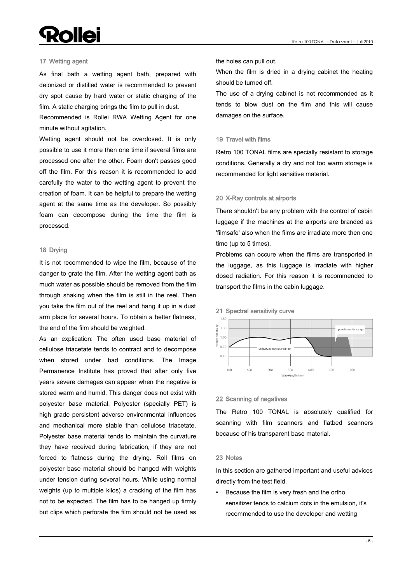# **Rollei**

#### 17 Wetting agent

As final bath a wetting agent bath, prepared with deionized or distilled water is recommended to prevent dry spot cause by hard water or static charging of the film. A static charging brings the film to pull in dust.

Recommended is Rollei RWA Wetting Agent for one minute without agitation.

Wetting agent should not be overdosed. It is only possible to use it more then one time if several films are processed one after the other. Foam don't passes good off the film. For this reason it is recommended to add carefully the water to the wetting agent to prevent the creation of foam. It can be helpful to prepare the wetting agent at the same time as the developer. So possibly foam can decompose during the time the film is processed.

#### 18 Drying

It is not recommended to wipe the film, because of the danger to grate the film. After the wetting agent bath as much water as possible should be removed from the film through shaking when the film is still in the reel. Then you take the film out of the reel and hang it up in a dust arm place for several hours. To obtain a better flatness, the end of the film should be weighted.

As an explication: The often used base material of cellulose triacetate tends to contract and to decompose when stored under bad conditions. The Image Permanence Institute has proved that after only five years severe damages can appear when the negative is stored warm and humid. This danger does not exist with polyester base material. Polyester (specially PET) is high grade persistent adverse environmental influences and mechanical more stable than cellulose triacetate. Polyester base material tends to maintain the curvature they have received during fabrication, if they are not forced to flatness during the drying. Roll films on polyester base material should be hanged with weights under tension during several hours. While using normal weights (up to multiple kilos) a cracking of the film has not to be expected. The film has to be hanged up firmly but clips which perforate the film should not be used as

the holes can pull out.

When the film is dried in a drying cabinet the heating should be turned off.

The use of a drying cabinet is not recommended as it tends to blow dust on the film and this will cause damages on the surface.

#### 19 Travel with films

Retro 100 TONAL films are specially resistant to storage conditions. Generally a dry and not too warm storage is recommended for light sensitive material.

#### 20 X-Ray controls at airports

There shouldn't be any problem with the control of cabin luggage if the machines at the airports are branded as 'filmsafe' also when the films are irradiate more then one time (up to 5 times).

Problems can occure when the films are transported in the luggage, as this luggage is irradiate with higher dosed radiation. For this reason it is recommended to transport the films in the cabin luggage.





#### 22 Scanning of negatives

The Retro 100 TONAL is absolutely qualified for scanning with film scanners and flatbed scanners because of his transparent base material.

#### 23 Notes

In this section are gathered important and useful advices directly from the test field.

• Because the film is very fresh and the ortho sensitizer tends to calcium dots in the emulsion, it's recommended to use the developer and wetting